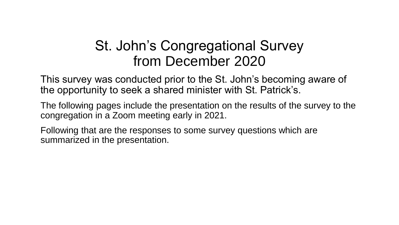#### St. John's Congregational Survey from December 2020

This survey was conducted prior to the St. John's becoming aware of the opportunity to seek a shared minister with St. Patrick's.

The following pages include the presentation on the results of the survey to the congregation in a Zoom meeting early in 2021.

Following that are the responses to some survey questions which are summarized in the presentation.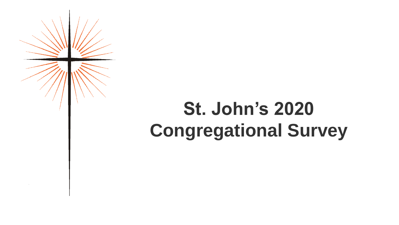

## **St. John's 2020 Congregational Survey**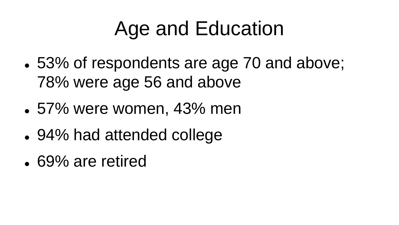### Age and Education

- 53% of respondents are age 70 and above; 78% were age 56 and above
- ⚫ 57% were women, 43% men
- ⚫ 94% had attended college
- 69% are retired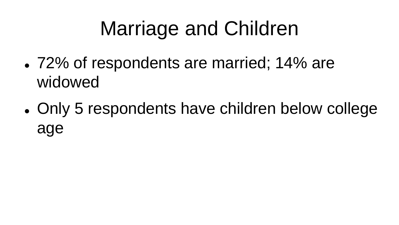# Marriage and Children

- 72% of respondents are married; 14% are widowed
- ⚫ Only 5 respondents have children below college age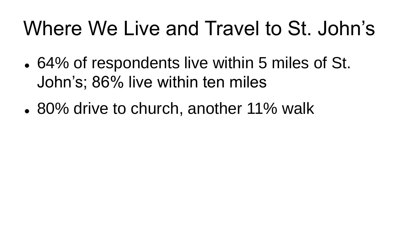### Where We Live and Travel to St. John's

- 64% of respondents live within 5 miles of St. John's; 86% live within ten miles
- 80% drive to church, another 11% walk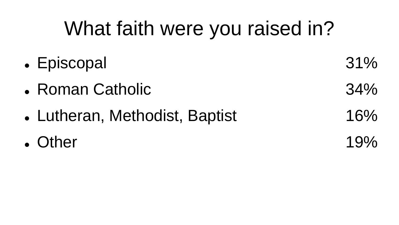## What faith were you raised in?

- Episcopal 31%
- Roman Catholic 34%
- Lutheran, Methodist, Baptist 16%
- $\bullet$  Other 19%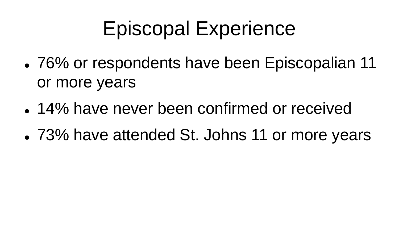### Episcopal Experience

- 76% or respondents have been Episcopalian 11 or more years
- 14% have never been confirmed or received
- ⚫ 73% have attended St. Johns 11 or more years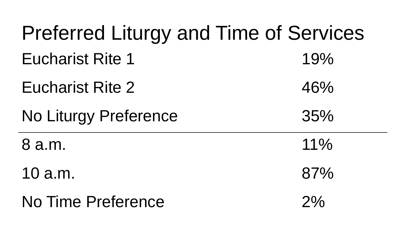| <b>Preferred Liturgy and Time of Services</b> |        |
|-----------------------------------------------|--------|
| <b>Eucharist Rite 1</b>                       | 19%    |
| <b>Eucharist Rite 2</b>                       | 46%    |
| <b>No Liturgy Preference</b>                  | 35%    |
| 8 a.m.                                        | $11\%$ |
| 10 a.m.                                       | 87%    |
| <b>No Time Preference</b>                     | 2%     |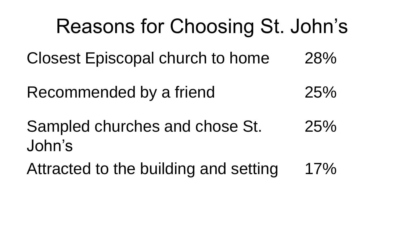Reasons for Choosing St. John's Closest Episcopal church to home 28% Recommended by a friend 25% Sampled churches and chose St. John's 25% Attracted to the building and setting 17%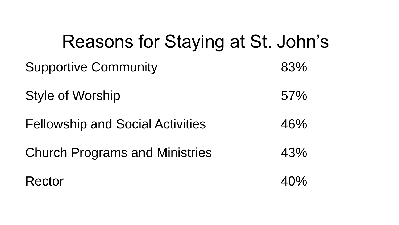#### Reasons for Staying at St. John's

| <b>Supportive Community</b>             | 83% |
|-----------------------------------------|-----|
| <b>Style of Worship</b>                 | 57% |
| <b>Fellowship and Social Activities</b> | 46% |
| <b>Church Programs and Ministries</b>   | 43% |
|                                         |     |

#### Rector 40%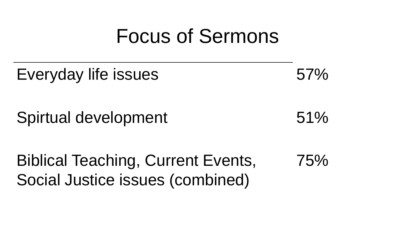#### Focus of Sermons

# Everyday life issues 67% Spirtual development 51% Biblical Teaching, Current Events, Social Justice issues (combined) 75%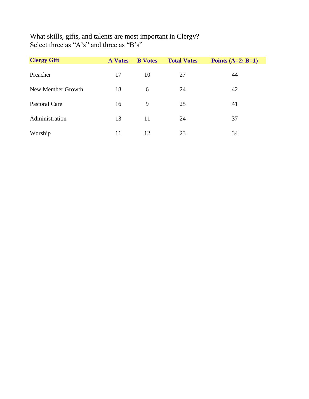What skills, gifts, and talents are most important in Clergy? Select three as "A's" and three as "B's"

| <b>Clergy Gift</b>   | <b>A</b> Votes | <b>B</b> Votes | <b>Total Votes</b> | Points $(A=2; B=1)$ |
|----------------------|----------------|----------------|--------------------|---------------------|
| Preacher             | 17             | 10             | 27                 | 44                  |
| New Member Growth    | 18             | 6              | 24                 | 42                  |
| <b>Pastoral Care</b> | 16             | 9              | 25                 | 41                  |
| Administration       | 13             | 11             | 24                 | 37                  |
| Worship              | 11             | 12             | 23                 | 34                  |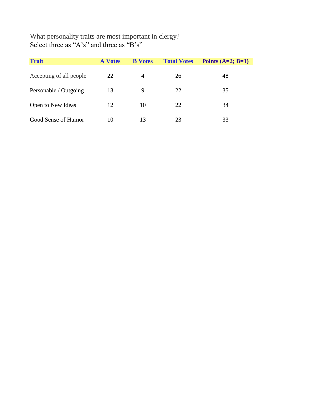What personality traits are most important in clergy? Select three as "A's" and three as "B's"

| <b>Trait</b>            | <b>A</b> Votes | <b>B</b> Votes | <b>Total Votes</b> | Points $(A=2; B=1)$ |
|-------------------------|----------------|----------------|--------------------|---------------------|
| Accepting of all people | 22             | 4              | 26                 | 48                  |
| Personable / Outgoing   | 13             | 9              | 22                 | 35                  |
| Open to New Ideas       | 12             | 10             | 22                 | 34                  |
| Good Sense of Humor     | 10             | 13             | 23                 | 33                  |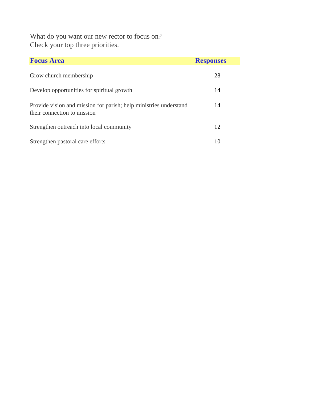What do you want our new rector to focus on? Check your top three priorities.

| <b>Focus Area</b>                                                                                | <b>Responses</b> |
|--------------------------------------------------------------------------------------------------|------------------|
| Grow church membership                                                                           | 28               |
| Develop opportunities for spiritual growth                                                       | 14               |
| Provide vision and mission for parish; help ministries understand<br>their connection to mission | 14               |
| Strengthen outreach into local community                                                         | 12               |
| Strengthen pastoral care efforts                                                                 | 10               |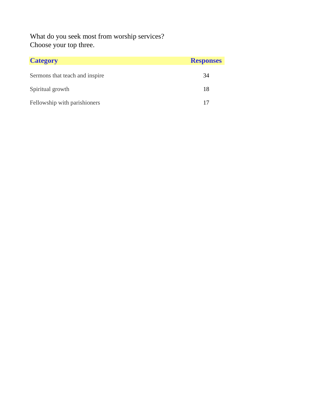What do you seek most from worship services? Choose your top three.

| <b>Category</b>                | <b>Responses</b> |
|--------------------------------|------------------|
| Sermons that teach and inspire | 34               |
| Spiritual growth               | 18               |
| Fellowship with parishioners   | 17               |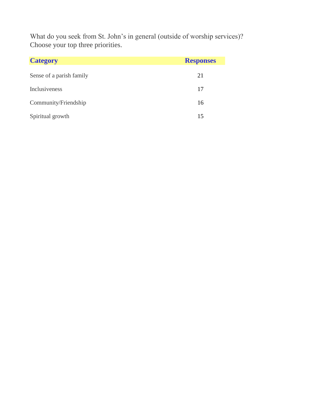What do you seek from St. John's in general (outside of worship services)? Choose your top three priorities.

| <b>Category</b>          | <b>Responses</b> |
|--------------------------|------------------|
| Sense of a parish family | 21               |
| Inclusiveness            | 17               |
| Community/Friendship     | 16               |
| Spiritual growth         | 15               |